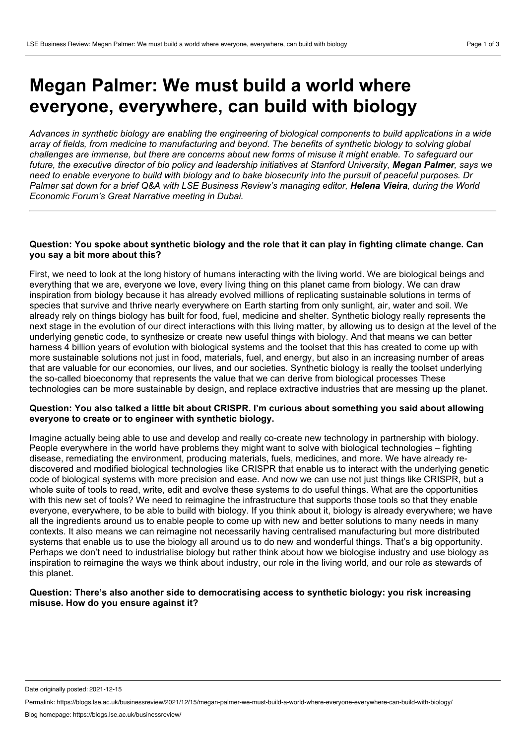# **Megan Palmer: We must build a world where everyone, everywhere, can build with biology**

Advances in synthetic biology are enabling the engineering of biological components to build applications in a wide array of fields, from medicine to manufacturing and beyond. The benefits of synthetic biology to solving global challenges are immense, but there are concerns about new forms of misuse it might enable. To safequard our future, the executive director of bio policy and leadership initiatives at Stanford University, Megan Palmer, says we need to enable everyone to build with biology and to bake biosecurity into the pursuit of peaceful purposes. Dr Palmer sat down for a brief Q&A with LSE Business Review's managing editor, Helena Vieira, during the World *Economic Forum's Great Narrative meeting in Dubai.*

#### Question: You spoke about synthetic biology and the role that it can play in fighting climate change. Can **you say a bit more about this?**

First, we need to look at the long history of humans interacting with the living world. We are biological beings and everything that we are, everyone we love, every living thing on this planet came from biology. We can draw inspiration from biology because it has already evolved millions of replicating sustainable solutions in terms of species that survive and thrive nearly everywhere on Earth starting from only sunlight, air, water and soil. We already rely on things biology has built for food, fuel, medicine and shelter. Synthetic biology really represents the next stage in the evolution of our direct interactions with this living matter, by allowing us to design at the level of the underlying genetic code, to synthesize or create new useful things with biology. And that means we can better harness 4 billion years of evolution with biological systems and the toolset that this has created to come up with more sustainable solutions not just in food, materials, fuel, and energy, but also in an increasing number of areas that are valuable for our economies, our lives, and our societies. Synthetic biology is really the toolset underlying the so-called bioeconomy that represents the value that we can derive from biological processes These technologies can be more sustainable by design, and replace extractive industries that are messing up the planet.

#### **Question: You also talked a little bit about CRISPR. I'm curious about something you said about allowing everyone to create or to engineer with synthetic biology.**

Imagine actually being able to use and develop and really co-create new technology in partnership with biology. People everywhere in the world have problems they might want to solve with biological technologies – fighting disease, remediating the environment, producing materials, fuels, medicines, and more. We have already re discovered and modified biological technologies like CRISPR that enable us to interact with the underlying genetic code of biological systems with more precision and ease. And now we can use not just things like CRISPR, but a whole suite of tools to read, write, edit and evolve these systems to do useful things. What are the opportunities with this new set of tools? We need to reimagine the infrastructure that supports those tools so that they enable everyone, everywhere, to be able to build with biology. If you think about it, biology is already everywhere; we have all the ingredients around us to enable people to come up with new and better solutions to many needs in many contexts. It also means we can reimagine not necessarily having centralised manufacturing but more distributed systems that enable us to use the biology all around us to do new and wonderful things. That's a big opportunity. Perhaps we don't need to industrialise biology but rather think about how we biologise industry and use biology as inspiration to reimagine the ways we think about industry, our role in the living world, and our role as stewards of this planet.

# **Question: There's also another side to democratising access to synthetic biology: you risk increasing misuse. How do you ensure against it?**

Date originally posted: 2021-12-15

Permalink: https://blogs.lse.ac.uk/businessreview/2021/12/15/megan-palmer-we-must-build-a-world-where-everyone-everywhere-can-build-with-biology/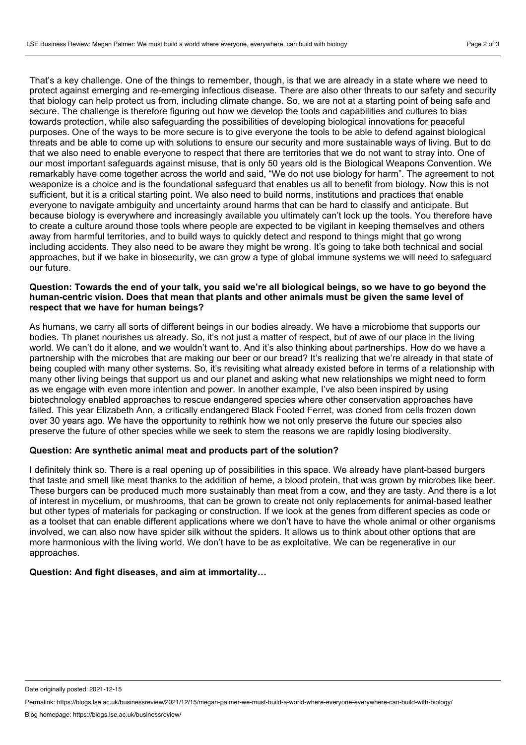That's a key challenge. One of the things to remember, though, is that we are already in a state where we need to protect against emerging and re-emerging infectious disease. There are also other threats to our safety and security that biology can help protect us from, including climate change. So, we are not at a starting point of being safe and secure. The challenge is therefore figuring out how we develop the tools and capabilities and cultures to bias towards protection, while also safeguarding the possibilities of developing biological innovations for peaceful purposes. One of the ways to be more secure is to give everyone the tools to be able to defend against biological threats and be able to come up with solutions to ensure our security and more sustainable ways of living. But to do that we also need to enable everyone to respect that there are territories that we do not want to stray into. One of our most important safeguards against misuse, that is only 50 years old is the Biological Weapons Convention. We remarkably have come together across the world and said, "We do not use biology for harm". The agreement to not weaponize is a choice and is the foundational safeguard that enables us all to benefit from biology. Now this is not sufficient, but it is a critical starting point. We also need to build norms, institutions and practices that enable everyone to navigate ambiguity and uncertainty around harms that can be hard to classify and anticipate. But because biology is everywhere and increasingly available you ultimately can't lock up the tools. You therefore have to create a culture around those tools where people are expected to be vigilant in keeping themselves and others away from harmful territories, and to build ways to quickly detect and respond to things might that go wrong including accidents. They also need to be aware they might be wrong. It's going to take both technical and social approaches, but if we bake in biosecurity, we can grow a type of global immune systems we will need to safeguard our future.

# Question: Towards the end of your talk, you said we're all biological beings, so we have to go beyond the **human-centric vision. Does that mean that plants and other animals must be given the same level of respect that we have for human beings?**

As humans, we carry all sorts of different beings in our bodies already. We have a microbiome that supports our bodies. Th planet nourishes us already. So, it's not just a matter of respect, but of awe of our place in the living world. We can't do it alone, and we wouldn't want to. And it's also thinking about partnerships. How do we have a partnership with the microbes that are making our beer or our bread? It's realizing that we're already in that state of being coupled with many other systems. So, it's revisiting what already existed before in terms of a relationship with many other living beings that support us and our planet and asking what new relationships we might need to form as we engage with even more intention and power. In another example, I've also been inspired by using biotechnology enabled approaches to rescue endangered species where other conservation approaches have failed. This year Elizabeth Ann, a critically endangered Black Footed Ferret, was cloned from cells frozen down over 30 years ago. We have the opportunity to rethink how we not only preserve the future our species also preserve the future of other species while we seek to stem the reasons we are rapidly losing biodiversity.

# **Question: Are synthetic animal meat and products part of the solution?**

I definitely think so. There is a real opening up of possibilities in this space. We already have plant-based burgers that taste and smell like meat thanks to the addition of heme, a blood protein, that was grown by microbes like beer. These burgers can be produced much more sustainably than meat from a cow, and they are tasty. And there is a lot of interest in mycelium, or mushrooms, that can be grown to create not only replacements for animal-based leather but other types of materials for packaging or construction. If we look at the genes from different species as code or as a toolset that can enable different applications where we don't have to have the whole animal or other organisms involved, we can also now have spider silk without the spiders. It allows us to think about other options that are more harmonious with the living world. We don't have to be as exploitative. We can be regenerative in our approaches.

# **Question: And fight diseases, and aim at immortality…**

Date originally posted: 2021-12-15

Permalink: https://blogs.lse.ac.uk/businessreview/2021/12/15/megan-palmer-we-must-build-a-world-where-everyone-everywhere-can-build-with-biology/